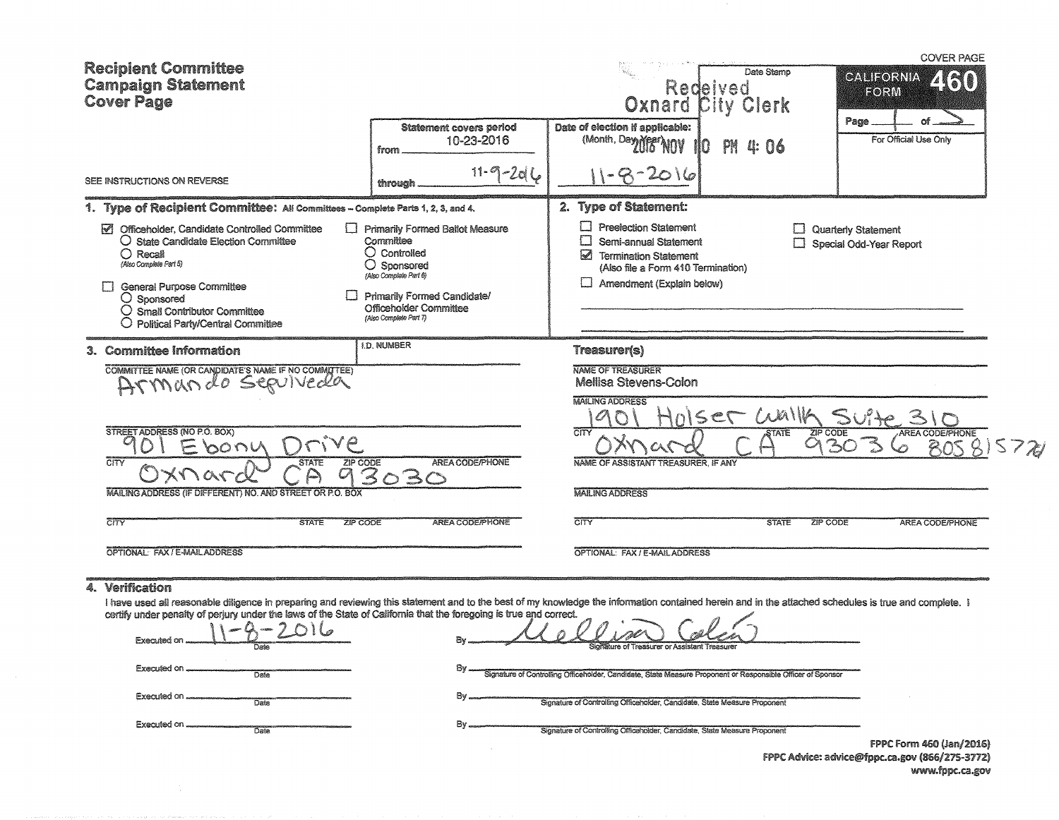| <b>Recipient Committee</b>                                                                                                                                                                                                                                                                                                                                                                                                                                                  |                                                                                                                                                                                                             |                                                                                                                                                                                                                                                                       | Date Stamo                           | <b>COVER PAGE</b>                                                          |  |
|-----------------------------------------------------------------------------------------------------------------------------------------------------------------------------------------------------------------------------------------------------------------------------------------------------------------------------------------------------------------------------------------------------------------------------------------------------------------------------|-------------------------------------------------------------------------------------------------------------------------------------------------------------------------------------------------------------|-----------------------------------------------------------------------------------------------------------------------------------------------------------------------------------------------------------------------------------------------------------------------|--------------------------------------|----------------------------------------------------------------------------|--|
| <b>Campaign Statement</b><br><b>Cover Page</b>                                                                                                                                                                                                                                                                                                                                                                                                                              |                                                                                                                                                                                                             |                                                                                                                                                                                                                                                                       | Redeived<br><b>Oxnard City Clerk</b> | <b>CALIFORNIA</b><br>EORM                                                  |  |
|                                                                                                                                                                                                                                                                                                                                                                                                                                                                             | <b>Statement covers period</b><br>10-23-2016<br>from                                                                                                                                                        | Date of election if applicable:<br>(Month, Day Mean NOV                                                                                                                                                                                                               | Ю<br>PM<br>4: 06                     | Page<br>For Official Use Only                                              |  |
| SEE INSTRUCTIONS ON REVERSE                                                                                                                                                                                                                                                                                                                                                                                                                                                 | $11 - 9 - 2066$<br>through                                                                                                                                                                                  | 20 I 6                                                                                                                                                                                                                                                                |                                      |                                                                            |  |
| 1. Type of Recipient Committee: All Committees - Complete Parts 1, 2, 3, and 4.                                                                                                                                                                                                                                                                                                                                                                                             |                                                                                                                                                                                                             | 2. Type of Statement:                                                                                                                                                                                                                                                 |                                      |                                                                            |  |
| $\triangledown$<br>Officeholder, Candidate Controlled Committee<br>$\bigcirc$ State Candidate Election Committee<br>$\bigcirc$ Recall<br>(Also Complete Part 5)<br><b>General Purpose Committee</b><br>□<br>$\bigcirc$ Sponsored<br>$\bigcirc$ Small Contributor Committee<br>$\bigcirc$ Political Party/Central Committee                                                                                                                                                  | <b>Primarily Formed Ballot Measure</b><br>Committee<br>$\bigcirc$ Controlled<br>O<br>Sponsored<br>(Also Complete Part 6)<br>Primarily Formed Candidate/<br>Officeholder Committee<br>(Also Complete Part 7) | Lj<br><b>Preelection Statement</b><br>С<br>Semi-annual Statement<br>⊠<br><b>Termination Statement</b><br>(Also file a Form 410 Termination)<br>Amendment (Explain below)                                                                                              | U                                    | Quarterly Statement<br>Special Odd-Year Report                             |  |
| 3. Committee Information                                                                                                                                                                                                                                                                                                                                                                                                                                                    | <b>I.D. NUMBER</b>                                                                                                                                                                                          | Treasurer(s)                                                                                                                                                                                                                                                          |                                      |                                                                            |  |
| COMMITTEE NAME (OR CANDIDATE'S NAME IF NO COMMITTEE)<br>SERVIVECRA<br>$D_{\mathcal{N}}(N) \cap \mathcal{N} \cap \mathcal{L}$<br>STREET ADDRESS (NO P.O. BOX)<br><b>bon</b>                                                                                                                                                                                                                                                                                                  |                                                                                                                                                                                                             | <b>NAME OF TREASURER</b><br>Mellisa Stevens-Colon<br><b>MAILING ADDRESS</b><br>$\overline{\text{C}\text{TV}}$                                                                                                                                                         | ISET WAILA<br>ZIP CODE<br>STATE      | <b>AREA CODE/PHONE</b><br>3c<br>70 <sup>5</sup>                            |  |
| $\overline{\text{cm}}$<br>ZIP CODE<br><b>STATE</b><br>$\begin{picture}(20,20) \put(0,0){\line(1,0){155}} \put(15,0){\line(1,0){155}} \put(15,0){\line(1,0){155}} \put(15,0){\line(1,0){155}} \put(15,0){\line(1,0){155}} \put(15,0){\line(1,0){155}} \put(15,0){\line(1,0){155}} \put(15,0){\line(1,0){155}} \put(15,0){\line(1,0){155}} \put(15,0){\line(1,0){155}} \put(15,0){\line(1,0){155}} \$<br>201<br><br>MAILING ADDRESS (IF DIFFERENT) NO. AND STREET OR P.O. BOX | AREA CODE/PHONE<br>O3C                                                                                                                                                                                      | NAME OF ASSISTANT TREASURER, IF ANY<br><b>MAILING ADDRESS</b>                                                                                                                                                                                                         |                                      |                                                                            |  |
| $\overline{\text{C} \text{ITY}}$<br><b>STATE</b><br>ZIP CODE                                                                                                                                                                                                                                                                                                                                                                                                                | <b>AREA CODE/PHONE</b>                                                                                                                                                                                      | $\overline{\text{C}\text{H}^{\text{c}}}$                                                                                                                                                                                                                              | <b>STATE</b><br>ZIP CODE             | <b>AREA CODE/PHONE</b>                                                     |  |
| OPTIONAL: FAX / E-MAIL ADDRESS                                                                                                                                                                                                                                                                                                                                                                                                                                              |                                                                                                                                                                                                             | OPTIONAL: FAX / E-MAIL ADDRESS                                                                                                                                                                                                                                        |                                      |                                                                            |  |
| 4. Verification<br>I have used all reasonable diligence in preparing and reviewing this statement and to the best of my knowledge the information contained herein and in the attached schedules is true and complete. I<br>certify under penalty of perjury under the laws of the State of California that the foregoing is true and correct.<br>Executed on<br>Executed on.<br>Date<br>Executed on<br>Date<br>Executed on<br>Date                                         | Bv<br>By<br>By.<br>By                                                                                                                                                                                       | Signature of Controlling Officeholder, Candidate, State Measure Proponent or Responsible Officer of Sponsor<br>Signature of Controlling Officeholder, Candidate, State Measure Proponent<br>Signature of Controlling Officeholder, Candidate, State Measure Proponent |                                      | FPPC Form 460 (Jan/2016)<br>FPPC Advice: advice@fppc.ca.gov (866/275-3772) |  |
|                                                                                                                                                                                                                                                                                                                                                                                                                                                                             |                                                                                                                                                                                                             |                                                                                                                                                                                                                                                                       |                                      | www.fppc.ca.gov                                                            |  |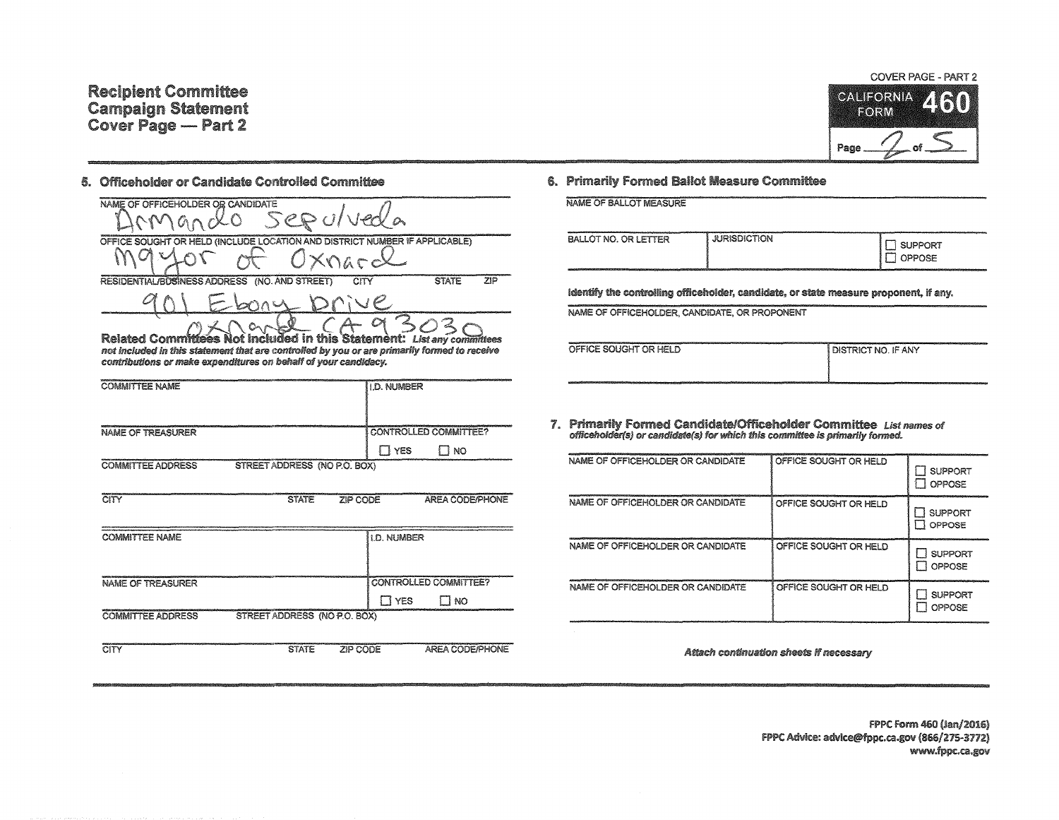## 5. Officeholder or Candidate Controlled Committee

| NAME OF OFFICEHOLDER OR CANDIDATE                                          |              |     |
|----------------------------------------------------------------------------|--------------|-----|
| 5eP                                                                        |              |     |
| OFFICE SOUGHT OR HELD (INCLUDE LOCATION AND DISTRICT NUMBER IF APPLICABLE) |              |     |
| $\sim$<br>Xnarcx                                                           |              |     |
| RESIDENTIAL/BUSINESS ADDRESS (NO. AND STREET)<br>CITY                      | <b>STATE</b> | 710 |
|                                                                            |              |     |
|                                                                            |              |     |
|                                                                            |              |     |

Related Committees Not included in this Statement: List any committees  $c_{\Gamma}$ not included in this statement that are controlled by you or are primarily formed to receive contributions or make expenditures on behalf of your candidacy.

| <b>COMMITTEE NAME</b>                                    | <b>ILD. NUMBER</b>             |
|----------------------------------------------------------|--------------------------------|
|                                                          |                                |
| NAME OF TREASURER                                        | <b>I CONTROLLED COMMITTEE?</b> |
|                                                          | YES<br>i no                    |
| STREET ADDRESS (NO P.O. BOX)<br><b>COMMITTEE ADDRESS</b> |                                |

| CITY                        | <b>STATE</b>                 | ZIP CODE           | <b>AREA CODE/PHONE</b>       |
|-----------------------------|------------------------------|--------------------|------------------------------|
| <b>COMMITTEE NAME</b>       |                              | <b>I.D. NUMBER</b> |                              |
| NAME OF TREASURER           |                              |                    | <b>CONTROLLED COMMITTEE?</b> |
| <b>COMMITTEE ADDRESS ST</b> | STREET ADDRESS (NO P.O. BOX) | I T YES            | NO <sub>1</sub>              |
| CITY                        | <b>STATE</b>                 | ZIP CODE           | AREA CODE/PHONE              |

## 6. Primarily Formed Ballot Measure Committee

NAME OF BALLOT MEASURE

| 2010/01/02/02/03/03 02:00 02:00 02:00 02:00 02:00 02:00 02:00 02:00 02:00 02:00 02:00 02:00 02:00 02:00 02:00<br>BALLOT NO. OR LETTER | al management and an international constitution or processes and<br><b>JURISDICTION</b> | <b>I SUPPORT</b><br>OPPOSE<br>تسببت |
|---------------------------------------------------------------------------------------------------------------------------------------|-----------------------------------------------------------------------------------------|-------------------------------------|
|                                                                                                                                       |                                                                                         |                                     |

identify the controlling officeholder, candidate, or state measure proponent, if any.

NAME OF OFFICEHOLDER, CANDIDATE, OR PROPONENT

| OFFICE SOUGHT OR HELD | <b>I DISTRICT NO. IF ANY</b> |
|-----------------------|------------------------------|
|                       |                              |

7. Primarily Formed Candidate/Officeholder Committee List names of officeholder(s) or candidate(s) for which this committee is primarily formed.

| NAME OF OFFICEHOLDER OR CANDIDATE | OFFICE SOUGHT OR HELD | <b>SUPPORT</b><br>OPPOSE        |
|-----------------------------------|-----------------------|---------------------------------|
| NAME OF OFFICEHOLDER OR CANDIDATE | OFFICE SOUGHT OR HELD | <b>SUPPORT</b><br>OPPOSE        |
| NAME OF OFFICEHOLDER OR CANDIDATE | OFFICE SOUGHT OR HELD | <b>SUPPORT</b><br>OPPOSE<br>- 8 |
| NAME OF OFFICEHOLDER OR CANDIDATE | OFFICE SOUGHT OR HELD | <b>SUPPORT</b><br>OPPOSE        |

Attach continuation sheets if necessary

FPPC Form 460 (Jan/2016) FPPC Advice: advice@fppc.ca.gov (866/275-3772) www.fppc.ca.gov



Page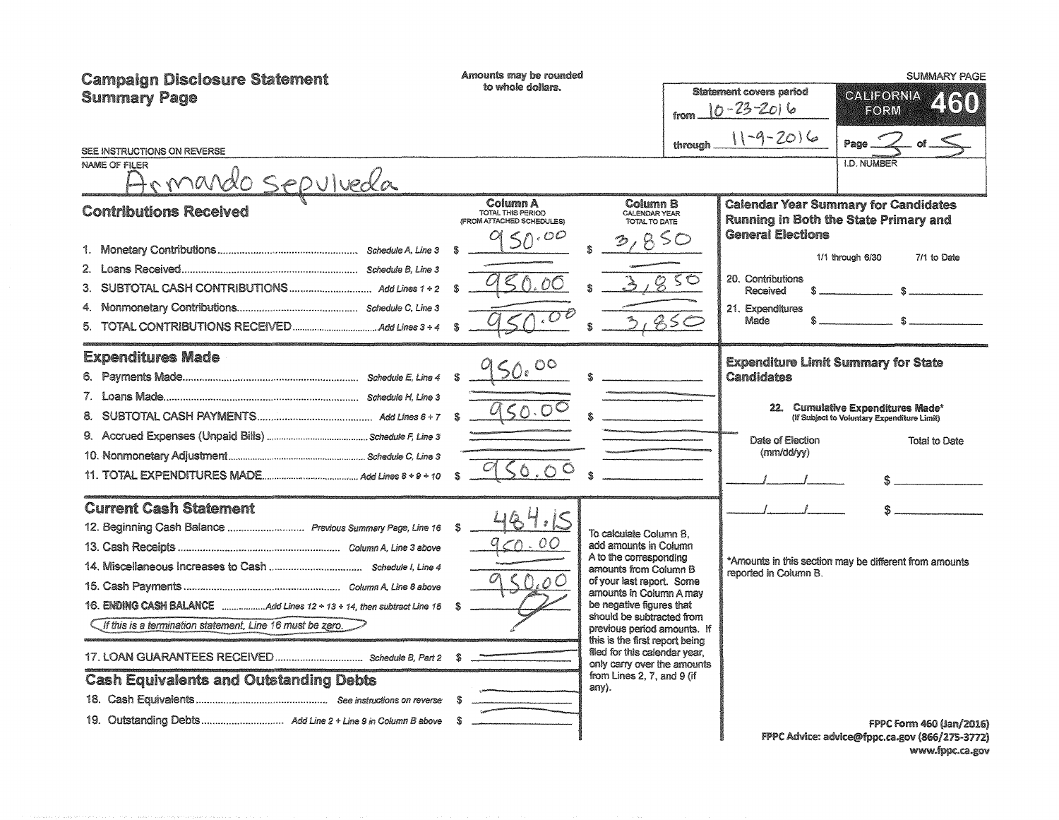| <b>Campaign Disclosure Statement</b><br><b>Summary Page</b><br>SEE INSTRUCTIONS ON REVERSE<br><b>NAME OF FILER</b>                                                                                           | Amounts may be rounded<br>to whole dollars.                                  | from<br>through                                                                                                                                                                                                                                                                                                                                                                             | <b>Statement covers period</b><br>$10 - 23 - 2016$<br>$11 - 9 - 2016$                      | <b>SUMMARY PAGE</b><br>CALIFORNIA<br>2160<br>FORM<br>Page.<br><b>I.D. NUMBER</b>                                                                                  |
|--------------------------------------------------------------------------------------------------------------------------------------------------------------------------------------------------------------|------------------------------------------------------------------------------|---------------------------------------------------------------------------------------------------------------------------------------------------------------------------------------------------------------------------------------------------------------------------------------------------------------------------------------------------------------------------------------------|--------------------------------------------------------------------------------------------|-------------------------------------------------------------------------------------------------------------------------------------------------------------------|
| <u>omando sepulveda</u><br><b>Contributions Received</b><br>4.<br>5.                                                                                                                                         | Column A<br>TOTAL THIS PERIOD<br>(FROM ATTACHED SCHEDULES)<br>50.00<br>50.00 | Column B<br>CALENDAR YEAR<br>TOTAL TO DATE<br>850<br>$\overline{g}$ so<br>85C                                                                                                                                                                                                                                                                                                               | <b>General Elections</b><br>20. Contributions<br>Received<br>21. Expenditures<br>Made      | <b>Calendar Year Summary for Candidates</b><br>Running in Both the State Primary and<br>1/1 through 6/30<br>7/1 to Date<br>$\mathfrak{N}$<br>$\sim$ $\sim$ $\sim$ |
| <b>Expenditures Made</b>                                                                                                                                                                                     | $\circ$<br>50.00<br>50.0<br>$\circ$                                          |                                                                                                                                                                                                                                                                                                                                                                                             | <b>Expenditure Limit Summary for State</b><br>Candidates<br>Date of Election<br>(mm/dd/yy) | 22. Cumulative Expenditures Made*<br>(If Subject to Voluntary Expenditure Limit)<br>Total to Date                                                                 |
| <b>Current Cash Statement</b><br>12. Beginning Cash Balance  Previous Summary Page, Line 16 \$<br>If this is a termination statement, Line 16 must be zero.<br><b>Cash Equivalents and Outstanding Debts</b> | 184.15<br>70.00<br>. $\cap$ $C$<br>S.                                        | To calculate Column B.<br>add amounts in Column<br>A to the corresponding<br>amounts from Column B<br>of your last report. Some<br>amounts in Column A may<br>be negative figures that<br>should be subtracted from<br>previous period amounts. If<br>this is the first report being<br>filed for this calendar year,<br>only carry over the amounts<br>from Lines 2, 7, and 9 (if<br>anv). | reported in Column B.                                                                      | *Amounts in this section may be different from amounts<br><b>FPPC Form 460 (Jan/2016)</b>                                                                         |
|                                                                                                                                                                                                              |                                                                              |                                                                                                                                                                                                                                                                                                                                                                                             |                                                                                            | FPPC Advice: advice@fppc.ca.gov (866/275-3772)                                                                                                                    |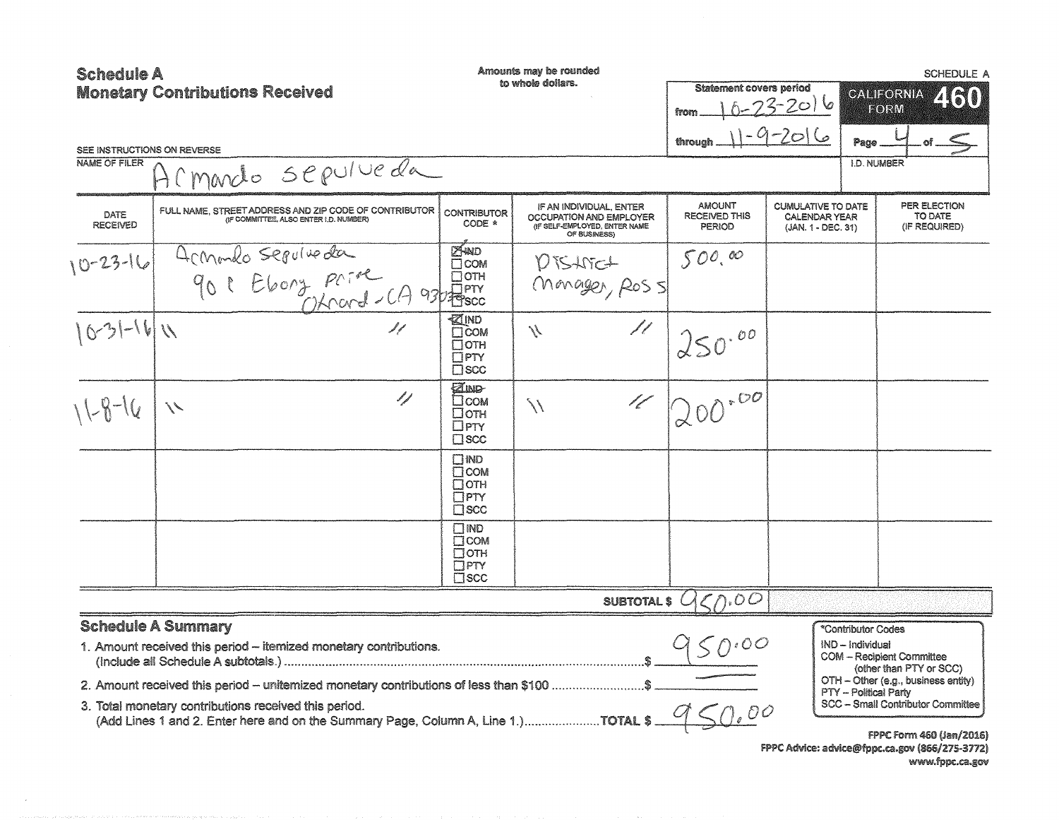| <b>Schedule A</b>           |                                                                                                                                                                                            |                                                                         | Amounts may be rounded                                                                              |                                                 |                                                                         |                                                                 | <b>SCHEDULE A</b>                                                                                                      |
|-----------------------------|--------------------------------------------------------------------------------------------------------------------------------------------------------------------------------------------|-------------------------------------------------------------------------|-----------------------------------------------------------------------------------------------------|-------------------------------------------------|-------------------------------------------------------------------------|-----------------------------------------------------------------|------------------------------------------------------------------------------------------------------------------------|
|                             | <b>Monetary Contributions Received</b>                                                                                                                                                     |                                                                         | to whole dollars.                                                                                   | <b>Statement covers period</b>                  |                                                                         |                                                                 | CALIFORNIA<br>2160                                                                                                     |
|                             |                                                                                                                                                                                            |                                                                         |                                                                                                     | from                                            | $-23 - 2016$                                                            |                                                                 | <b>EORM</b>                                                                                                            |
| SEE INSTRUCTIONS ON REVERSE |                                                                                                                                                                                            |                                                                         |                                                                                                     | through                                         | $-9-2016$                                                               | Page                                                            |                                                                                                                        |
| <b>NAME OF FILER</b>        | H(marcho sepulveda                                                                                                                                                                         |                                                                         |                                                                                                     |                                                 |                                                                         | <b>I.D. NUMBER</b>                                              |                                                                                                                        |
| DATE<br><b>RECEIVED</b>     | FULL NAME, STREET ADDRESS AND ZIP CODE OF CONTRIBUTOR<br>(IF COMMITTEE, ALSO ENTER I.D. NUMBER)                                                                                            | <b>CONTRIBUTOR</b><br>CODE *                                            | IF AN INDIVIDUAL, ENTER<br>OCCUPATION AND EMPLOYER<br>(IF SELF-EMPLOYED, ENTER NAME<br>OF BUSINESS) | <b>AMOUNT</b><br><b>RECEIVED THIS</b><br>PERIOD | <b>CUMULATIVE TO DATE</b><br><b>CALENDAR YEAR</b><br>(JAN. 1 - DEC. 31) |                                                                 | PER ELECTION<br>TO DATE<br>(IF REQUIRED)                                                                               |
| $0 - 23 - 16$               | Acmondo seguino da                                                                                                                                                                         |                                                                         | DISANCT<br>Monager, Ross                                                                            | 500,00                                          |                                                                         |                                                                 |                                                                                                                        |
| $10-31-161$                 | 11                                                                                                                                                                                         | ∙ZIND<br>$\Box$ COM<br>Потн<br>$\Box$ PTY<br>$\square$ scc              | 11<br>$\mathcal{N}$                                                                                 | 250.00                                          |                                                                         |                                                                 |                                                                                                                        |
| $11 - 8 - 16$               | 11<br>$\mathcal{N}$                                                                                                                                                                        | <b>ZIND</b><br>Псом<br>□отн<br>$\Box$ PTY<br>$\Box$ scc                 | d for de<br>$\setminus\setminus$                                                                    | $4200^{100}$                                    |                                                                         |                                                                 |                                                                                                                        |
|                             |                                                                                                                                                                                            | $\square$ ND<br><b>T</b> COM<br>$\Box$ OTH<br>$\Box$ PTY<br>$\Box$ SCC  |                                                                                                     |                                                 |                                                                         |                                                                 |                                                                                                                        |
|                             |                                                                                                                                                                                            | $\Box$ MD<br>$\square$ COM<br>$\Box$ oth<br>$\Box$ PTY<br>$\square$ SCC |                                                                                                     |                                                 |                                                                         |                                                                 |                                                                                                                        |
|                             |                                                                                                                                                                                            |                                                                         | SUBTOTAL \$ 4                                                                                       | CD.00                                           |                                                                         |                                                                 |                                                                                                                        |
|                             | <b>Schedule A Summary</b><br>1. Amount received this period - itemized monetary contributions.<br>2. Amount received this period - unitemized monetary contributions of less than \$100 \$ |                                                                         |                                                                                                     |                                                 |                                                                         | *Contributor Codes<br>IND - Individual<br>PTY - Political Party | <b>COM - Recipient Committee</b><br>(other than PTY or SCC)<br>OTH - Other (e.g., business entity)                     |
|                             | 3. Total monetary contributions received this period.<br>(Add Lines 1 and 2. Enter here and on the Summary Page, Column A, Line 1.)TOTAL \$                                                |                                                                         |                                                                                                     | $\overline{C}$                                  |                                                                         |                                                                 | <b>SCC - Small Contributor Committee</b><br>FPPC Form 460 (Jan/2016)<br>FPPC Advice: advice@fppc.ca.gov (866/275-3772) |

 $\sim$ 

www.fppc.ca.gov